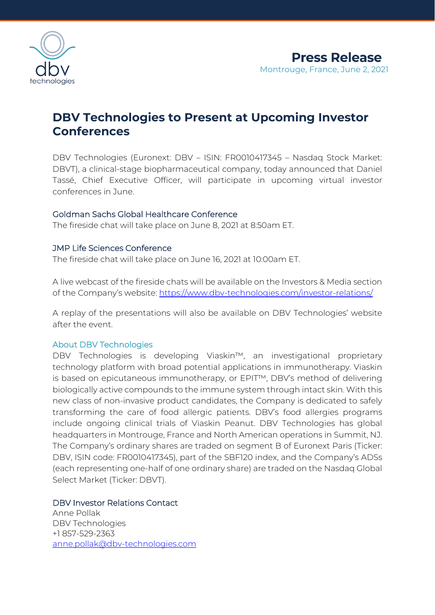

# **DBV Technologies to Present at Upcoming Investor Conferences**

DBV Technologies (Euronext: DBV – ISIN: FR0010417345 – Nasdaq Stock Market: DBVT), a clinical-stage biopharmaceutical company, today announced that Daniel Tassé, Chief Executive Officer, will participate in upcoming virtual investor conferences in June.

### Goldman Sachs Global Healthcare Conference

The fireside chat will take place on June 8, 2021 at 8:50am ET.

#### JMP Life Sciences Conference

The fireside chat will take place on June 16, 2021 at 10:00am ET.

A live webcast of the fireside chats will be available on the Investors & Media section of the Company's website: <https://www.dbv-technologies.com/investor-relations/>

A replay of the presentations will also be available on DBV Technologies' website after the event.

#### About DBV Technologies

DBV Technologies is developing Viaskin™, an investigational proprietary technology platform with broad potential applications in immunotherapy. Viaskin is based on epicutaneous immunotherapy, or EPIT™, DBV's method of delivering biologically active compounds to the immune system through intact skin. With this new class of non-invasive product candidates, the Company is dedicated to safely transforming the care of food allergic patients. DBV's food allergies programs include ongoing clinical trials of Viaskin Peanut. DBV Technologies has global headquarters in Montrouge, France and North American operations in Summit, NJ. The Company's ordinary shares are traded on segment B of Euronext Paris (Ticker: DBV, ISIN code: FR0010417345), part of the SBF120 index, and the Company's ADSs (each representing one-half of one ordinary share) are traded on the Nasdaq Global Select Market (Ticker: DBVT).

#### DBV Investor Relations Contact

Anne Pollak DBV Technologies +1 857-529-2363 [anne.pollak@dbv-technologies.com](mailto:anne.pollak@dbv-technologies.com)